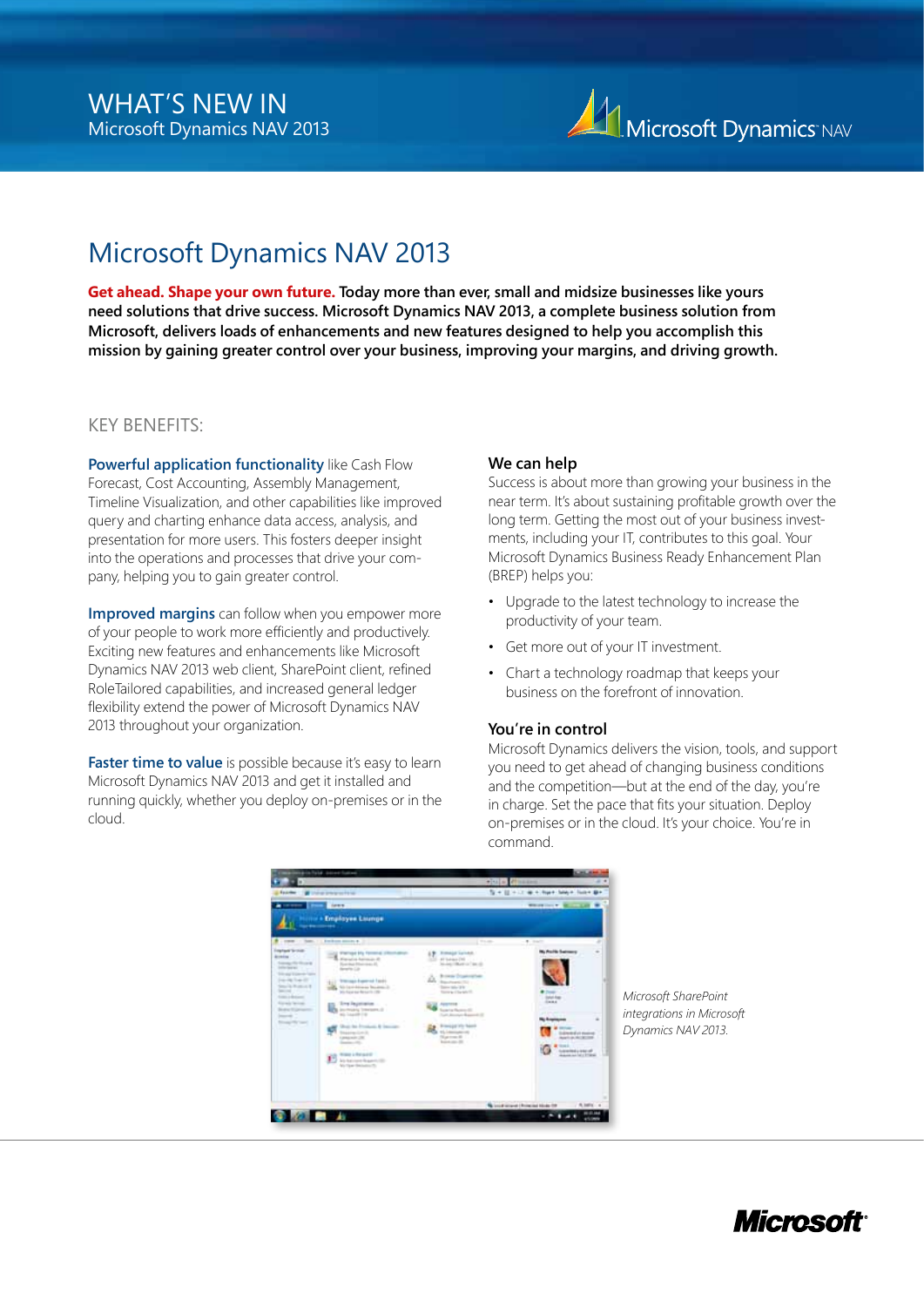

**Get ahead. Shape your own future. Today more than ever, small and midsize businesses like yours need solutions that drive success. Microsoft Dynamics NAV 2013, a complete business solution from Microsoft, delivers loads of enhancements and new features designed to help you accomplish this mission by gaining greater control over your business, improving your margins, and driving growth.**

### Key Benefits:

**Powerful application functionality** like Cash Flow Forecast, Cost Accounting, Assembly Management, Timeline Visualization, and other capabilities like improved query and charting enhance data access, analysis, and presentation for more users. This fosters deeper insight into the operations and processes that drive your company, helping you to gain greater control.

**Improved margins** can follow when you empower more of your people to work more efficiently and productively. Exciting new features and enhancements like Microsoft Dynamics NAV 2013 web client, SharePoint client, refined RoleTailored capabilities, and increased general ledger flexibility extend the power of Microsoft Dynamics NAV 2013 throughout your organization.

Faster time to value is possible because it's easy to learn Microsoft Dynamics NAV 2013 and get it installed and running quickly, whether you deploy on-premises or in the cloud.

#### **We can help**

Success is about more than growing your business in the near term. It's about sustaining profitable growth over the long term. Getting the most out of your business investments, including your IT, contributes to this goal. Your Microsoft Dynamics Business Ready Enhancement Plan (BREP) helps you:

- Upgrade to the latest technology to increase the productivity of your team.
- Get more out of your IT investment.
- Chart a technology roadmap that keeps your business on the forefront of innovation.

#### **You're in control**

Microsoft Dynamics delivers the vision, tools, and support you need to get ahead of changing business conditions and the competition—but at the end of the day, you're in charge. Set the pace that fits your situation. Deploy on-premises or in the cloud. It's your choice. You're in command.



*Microsoft SharePoint integrations in Microsoft Dynamics NAV 2013.*

## Microsoff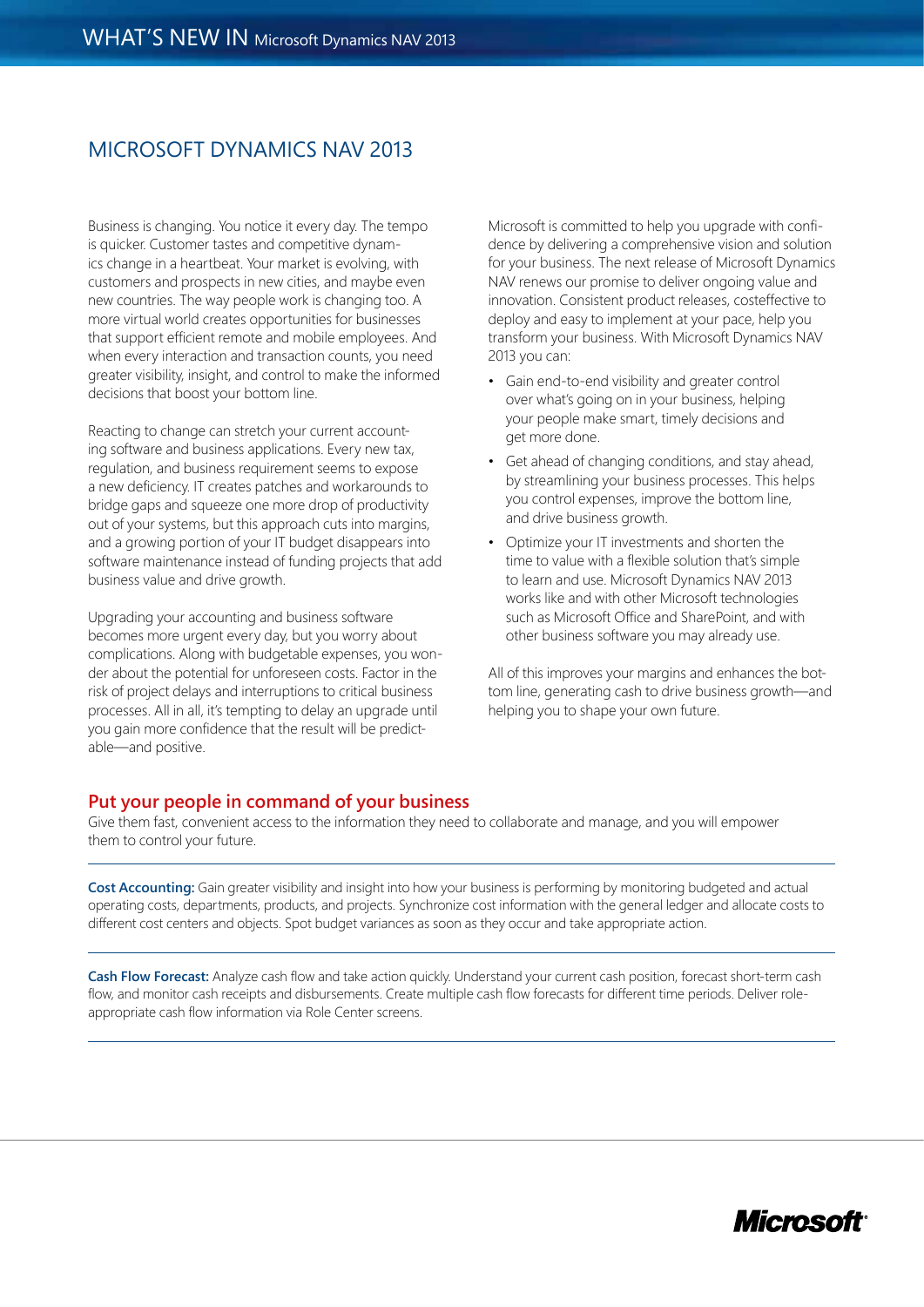Business is changing. You notice it every day. The tempo is quicker. Customer tastes and competitive dynamics change in a heartbeat. Your market is evolving, with customers and prospects in new cities, and maybe even new countries. The way people work is changing too. A more virtual world creates opportunities for businesses that support efficient remote and mobile employees. And when every interaction and transaction counts, you need greater visibility, insight, and control to make the informed decisions that boost your bottom line.

Reacting to change can stretch your current accounting software and business applications. Every new tax, regulation, and business requirement seems to expose a new deficiency. IT creates patches and workarounds to bridge gaps and squeeze one more drop of productivity out of your systems, but this approach cuts into margins, and a growing portion of your IT budget disappears into software maintenance instead of funding projects that add business value and drive growth.

Upgrading your accounting and business software becomes more urgent every day, but you worry about complications. Along with budgetable expenses, you wonder about the potential for unforeseen costs. Factor in the risk of project delays and interruptions to critical business processes. All in all, it's tempting to delay an upgrade until you gain more confidence that the result will be predictable—and positive.

Microsoft is committed to help you upgrade with confidence by delivering a comprehensive vision and solution for your business. The next release of Microsoft Dynamics NAV renews our promise to deliver ongoing value and innovation. Consistent product releases, costeffective to deploy and easy to implement at your pace, help you transform your business. With Microsoft Dynamics NAV 2013 you can:

- Gain end-to-end visibility and greater control over what's going on in your business, helping your people make smart, timely decisions and get more done.
- Get ahead of changing conditions, and stay ahead, by streamlining your business processes. This helps you control expenses, improve the bottom line, and drive business growth.
- Optimize your IT investments and shorten the time to value with a flexible solution that's simple to learn and use. Microsoft Dynamics NAV 2013 works like and with other Microsoft technologies such as Microsoft Office and SharePoint, and with other business software you may already use.

All of this improves your margins and enhances the bottom line, generating cash to drive business growth—and helping you to shape your own future.

#### **Put your people in command of your business**

Give them fast, convenient access to the information they need to collaborate and manage, and you will empower them to control your future.

**Cost Accounting:** Gain greater visibility and insight into how your business is performing by monitoring budgeted and actual operating costs, departments, products, and projects. Synchronize cost information with the general ledger and allocate costs to different cost centers and objects. Spot budget variances as soon as they occur and take appropriate action.

**Cash Flow Forecast:** Analyze cash flow and take action quickly. Understand your current cash position, forecast short-term cash flow, and monitor cash receipts and disbursements. Create multiple cash flow forecasts for different time periods. Deliver roleappropriate cash flow information via Role Center screens.

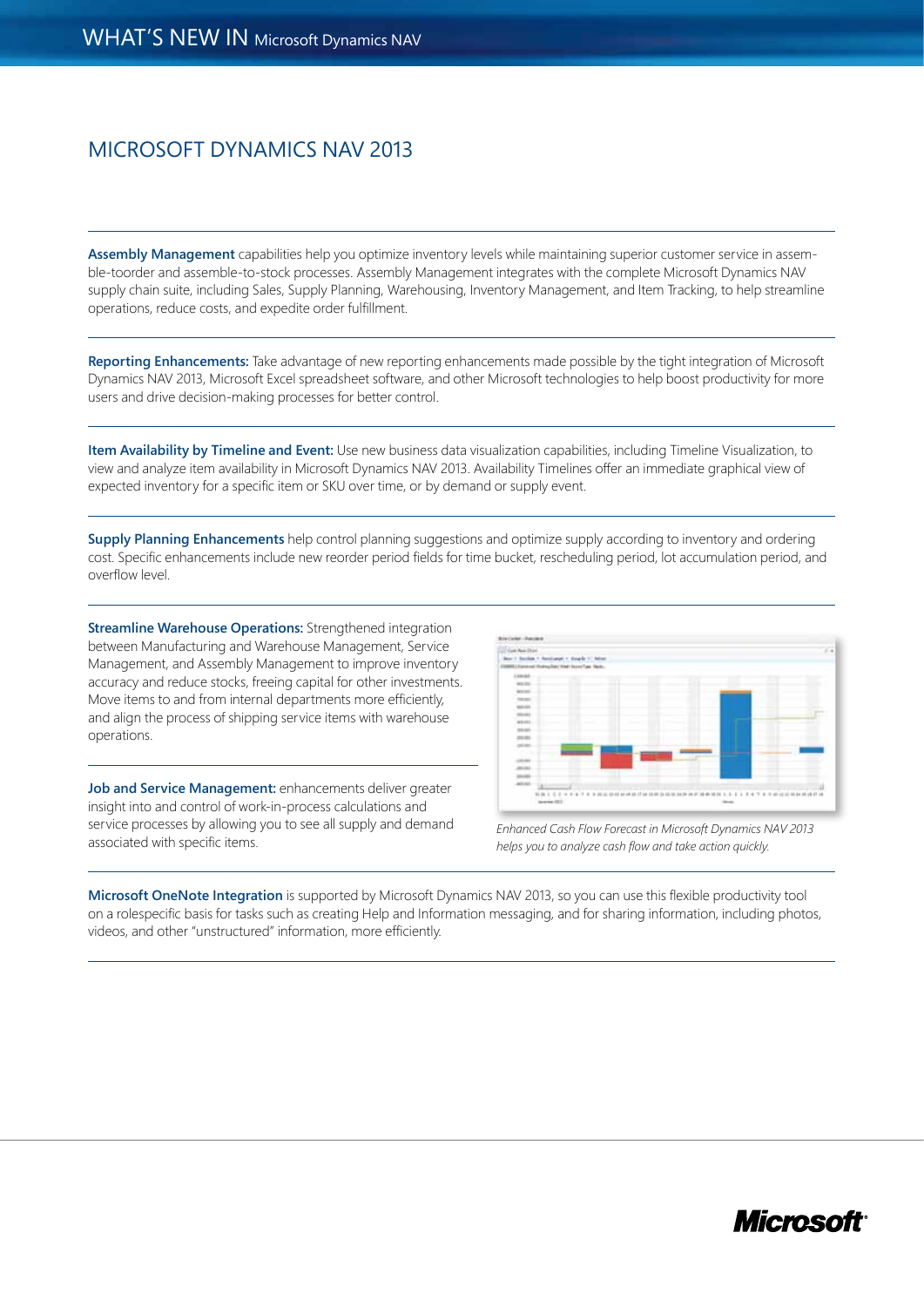**Assembly Management** capabilities help you optimize inventory levels while maintaining superior customer service in assemble-toorder and assemble-to-stock processes. Assembly Management integrates with the complete Microsoft Dynamics NAV supply chain suite, including Sales, Supply Planning, Warehousing, Inventory Management, and Item Tracking, to help streamline operations, reduce costs, and expedite order fulfillment.

**Reporting Enhancements:** Take advantage of new reporting enhancements made possible by the tight integration of Microsoft Dynamics NAV 2013, Microsoft Excel spreadsheet software, and other Microsoft technologies to help boost productivity for more users and drive decision-making processes for better control.

**Item Availability by Timeline and Event:** Use new business data visualization capabilities, including Timeline Visualization, to view and analyze item availability in Microsoft Dynamics NAV 2013. Availability Timelines offer an immediate graphical view of expected inventory for a specific item or SKU over time, or by demand or supply event.

**Supply Planning Enhancements** help control planning suggestions and optimize supply according to inventory and ordering cost. Specific enhancements include new reorder period fields for time bucket, rescheduling period, lot accumulation period, and overflow level.

**Streamline Warehouse Operations:** Strengthened integration between Manufacturing and Warehouse Management, Service Management, and Assembly Management to improve inventory accuracy and reduce stocks, freeing capital for other investments. Move items to and from internal departments more efficiently, and align the process of shipping service items with warehouse operations.

**Job and Service Management:** enhancements deliver greater insight into and control of work-in-process calculations and service processes by allowing you to see all supply and demand associated with specific items.



*Enhanced Cash Flow Forecast in Microsoft Dynamics NAV 2013 helps you to analyze cash flow and take action quickly.*

**Microsoft OneNote Integration** is supported by Microsoft Dynamics NAV 2013, so you can use this flexible productivity tool on a rolespecific basis for tasks such as creating Help and Information messaging, and for sharing information, including photos, videos, and other "unstructured" information, more efficiently.

## Microsofi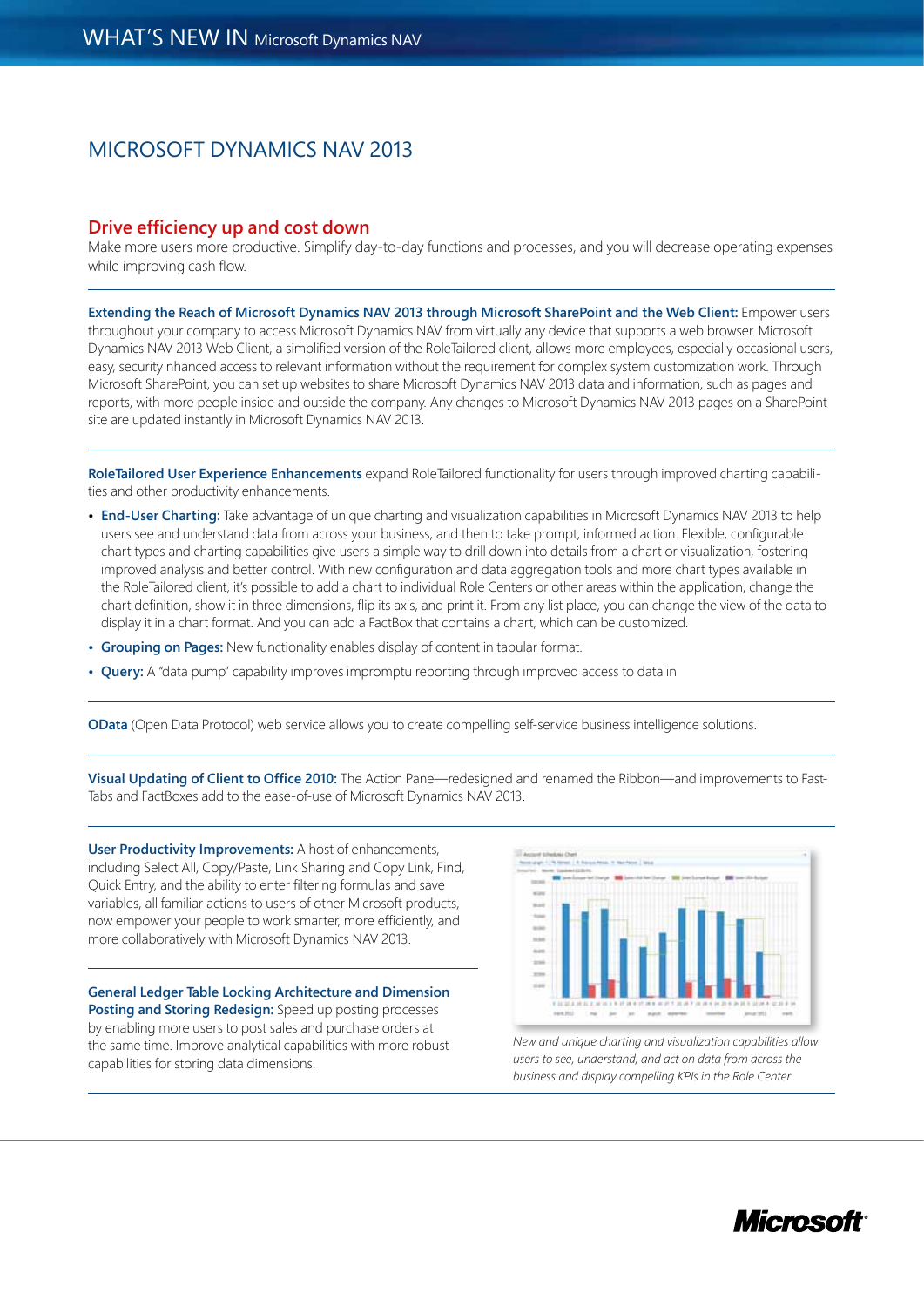#### **Drive efficiency up and cost down**

Make more users more productive. Simplify day-to-day functions and processes, and you will decrease operating expenses while improving cash flow.

**Extending the Reach of Microsoft Dynamics NAV 2013 through Microsoft SharePoint and the Web Client:** Empower users throughout your company to access Microsoft Dynamics NAV from virtually any device that supports a web browser. Microsoft Dynamics NAV 2013 Web Client, a simplified version of the RoleTailored client, allows more employees, especially occasional users, easy, security nhanced access to relevant information without the requirement for complex system customization work. Through Microsoft SharePoint, you can set up websites to share Microsoft Dynamics NAV 2013 data and information, such as pages and reports, with more people inside and outside the company. Any changes to Microsoft Dynamics NAV 2013 pages on a SharePoint site are updated instantly in Microsoft Dynamics NAV 2013.

**RoleTailored User Experience Enhancements** expand RoleTailored functionality for users through improved charting capabilities and other productivity enhancements.

- **• End-User Charting:** Take advantage of unique charting and visualization capabilities in Microsoft Dynamics NAV 2013 to help users see and understand data from across your business, and then to take prompt, informed action. Flexible, configurable chart types and charting capabilities give users a simple way to drill down into details from a chart or visualization, fostering improved analysis and better control. With new configuration and data aggregation tools and more chart types available in the RoleTailored client, it's possible to add a chart to individual Role Centers or other areas within the application, change the chart definition, show it in three dimensions, flip its axis, and print it. From any list place, you can change the view of the data to display it in a chart format. And you can add a FactBox that contains a chart, which can be customized.
- **• Grouping on Pages:** New functionality enables display of content in tabular format.
- **• Query:** A "data pump" capability improves impromptu reporting through improved access to data in

**OData** (Open Data Protocol) web service allows you to create compelling self-service business intelligence solutions.

**Visual Updating of Client to Office 2010:** The Action Pane—redesigned and renamed the Ribbon—and improvements to Fast-Tabs and FactBoxes add to the ease-of-use of Microsoft Dynamics NAV 2013.

**User Productivity Improvements:** A host of enhancements, including Select All, Copy/Paste, Link Sharing and Copy Link, Find, Quick Entry, and the ability to enter filtering formulas and save variables, all familiar actions to users of other Microsoft products, now empower your people to work smarter, more efficiently, and more collaboratively with Microsoft Dynamics NAV 2013.

**General Ledger Table Locking Architecture and Dimension Posting and Storing Redesign:** Speed up posting processes by enabling more users to post sales and purchase orders at the same time. Improve analytical capabilities with more robust capabilities for storing data dimensions.



*New and unique charting and visualization capabilities allow users to see, understand, and act on data from across the business and display compelling KPIs in the Role Center.*